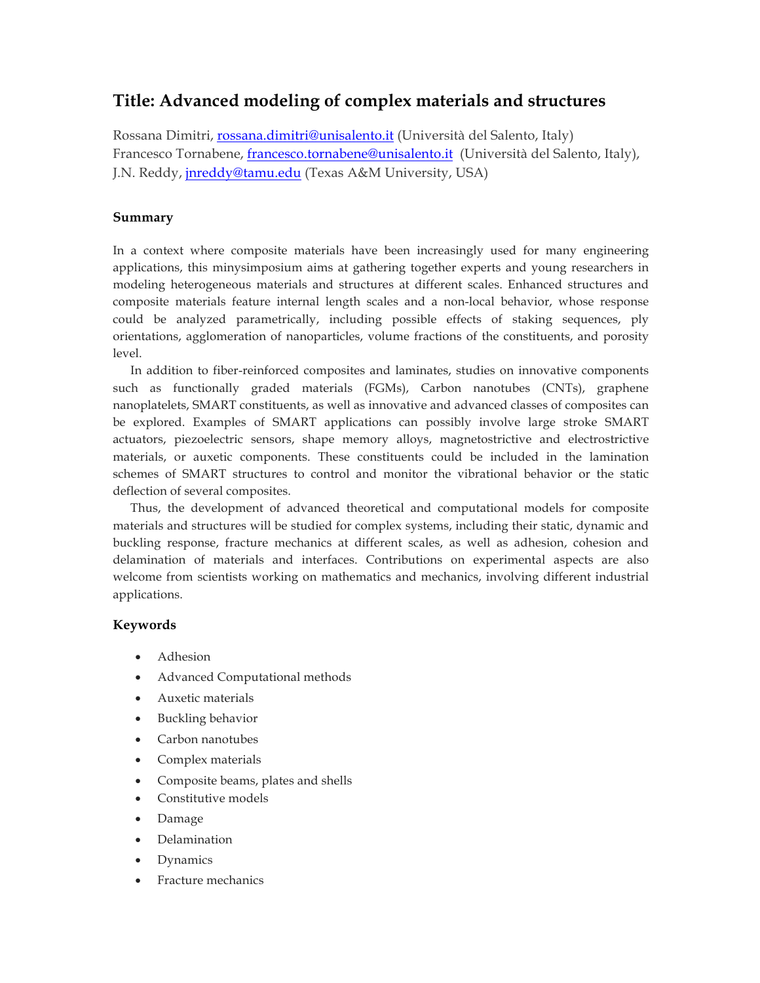## **Title: Advanced modeling of complex materials and structures**

Rossana Dimitri, rossana.dimitri@unisalento.it (Università del Salento, Italy) Francesco Tornabene, francesco.tornabene@unisalento.it (Università del Salento, Italy), J.N. Reddy, jnreddy@tamu.edu (Texas A&M University, USA)

## **Summary**

In a context where composite materials have been increasingly used for many engineering applications, this minysimposium aims at gathering together experts and young researchers in modeling heterogeneous materials and structures at different scales. Enhanced structures and composite materials feature internal length scales and a non-local behavior, whose response could be analyzed parametrically, including possible effects of staking sequences, ply orientations, agglomeration of nanoparticles, volume fractions of the constituents, and porosity level.

In addition to fiber-reinforced composites and laminates, studies on innovative components such as functionally graded materials (FGMs), Carbon nanotubes (CNTs), graphene nanoplatelets, SMART constituents, as well as innovative and advanced classes of composites can be explored. Examples of SMART applications can possibly involve large stroke SMART actuators, piezoelectric sensors, shape memory alloys, magnetostrictive and electrostrictive materials, or auxetic components. These constituents could be included in the lamination schemes of SMART structures to control and monitor the vibrational behavior or the static deflection of several composites.

Thus, the development of advanced theoretical and computational models for composite materials and structures will be studied for complex systems, including their static, dynamic and buckling response, fracture mechanics at different scales, as well as adhesion, cohesion and delamination of materials and interfaces. Contributions on experimental aspects are also welcome from scientists working on mathematics and mechanics, involving different industrial applications.

## **Keywords**

- Adhesion
- Advanced Computational methods
- Auxetic materials
- Buckling behavior
- Carbon nanotubes
- Complex materials
- Composite beams, plates and shells
- Constitutive models
- Damage
- Delamination
- Dynamics
- Fracture mechanics